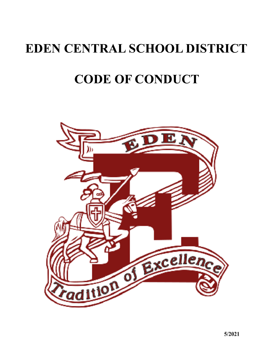# **EDEN CENTRAL SCHOOL DISTRICT**

# **CODE OF CONDUCT**

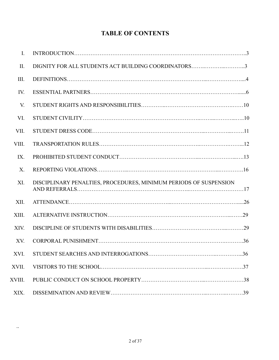# **TABLE OF CONTENTS**

| $\overline{I}$ . |                                                                   |  |
|------------------|-------------------------------------------------------------------|--|
| II.              | DIGNITY FOR ALL STUDENTS ACT BUILDING COORDINATORS3               |  |
| III.             |                                                                   |  |
| IV.              |                                                                   |  |
| V.               |                                                                   |  |
| VI.              |                                                                   |  |
| VII.             |                                                                   |  |
| VIII.            |                                                                   |  |
| IX.              |                                                                   |  |
| X.               |                                                                   |  |
| XI.              | DISCIPLINARY PENALTIES, PROCEDURES, MINIMUM PERIODS OF SUSPENSION |  |
| XII.             |                                                                   |  |
| XIII.            |                                                                   |  |
| XIV.             |                                                                   |  |
| XV.              |                                                                   |  |
| XVI.             |                                                                   |  |
| XVII.            |                                                                   |  |
| XVIII.           |                                                                   |  |
| XIX.             |                                                                   |  |

..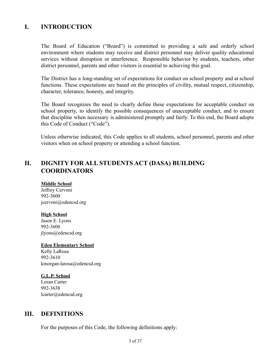# **I. INTRODUCTION**

The Board of Education ("Board") is committed to providing a safe and orderly school environment where students may receive and district personnel may deliver quality educational services without disruption or interference. Responsible behavior by students, teachers, other district personnel, parents and other visitors is essential to achieving this goal.

The District has a long-standing set of expectations for conduct on school property and at school functions. These expectations are based on the principles of civility, mutual respect, citizenship, character, tolerance, honesty, and integrity.

The Board recognizes the need to clearly define these expectations for acceptable conduct on school property, to identify the possible consequences of unacceptable conduct, and to ensure that discipline when necessary is administered promptly and fairly. To this end, the Board adopts this Code of Conduct ("Code").

Unless otherwise indicated, this Code applies to all students, school personnel, parents and other visitors when on school property or attending a school function.

# **II. DIGNITY FOR ALL STUDENTS ACT (DASA) BUILDING COORDINATORS**

#### **Middle School**

Jeffrey Cervoni 992-3600 jcervoni@edencsd.org

#### **High School**

Jason E. Lyons 992-3600 jlyons@edencsd.org

#### **Eden Elementary School**

Kelly LaRosa 992-3610 kmorgan-larosa@edencsd.org

#### **G.L.P. School**

Loran Carter 992-3638 lcarter@edencsd.org

## **III. DEFINITIONS**

For the purposes of this Code, the following definitions apply: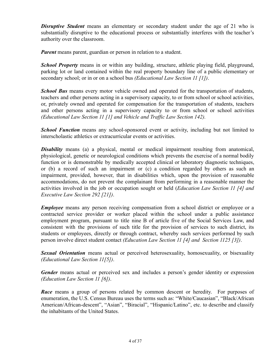*Disruptive Student* means an elementary or secondary student under the age of 21 who is substantially disruptive to the educational process or substantially interferes with the teacher's authority over the classroom.

*Parent* means parent, guardian or person in relation to a student.

*School Property* means in or within any building, structure, athletic playing field, playground, parking lot or land contained within the real property boundary line of a public elementary or secondary school; or in or on a school bus *(Educational Law Section 11 [1])*.

*School Bus* means every motor vehicle owned and operated for the transportation of students, teachers and other persons acting in a supervisory capacity, to or from school or school activities, or, privately owned and operated for compensation for the transportation of students, teachers and other persons acting in a supervisory capacity to or from school or school activities *(Educational Law Section 11 [1] and Vehicle and Traffic Law Section 142).*

**School Function** means any school-sponsored event or activity, including but not limited to interscholastic athletics or extracurricular events or activities.

*Disability* means (a) a physical, mental or medical impairment resulting from anatomical, physiological, genetic or neurological conditions which prevents the exercise of a normal bodily function or is demonstrable by medically accepted clinical or laboratory diagnostic techniques, or (b) a record of such an impairment or (c) a condition regarded by others as such an impairment, provided, however, that in disabilities which, upon the provision of reasonable accommodations, do not prevent the complainant from performing in a reasonable manner the activities involved in the job or occupation sought or held (*Education Law Section 11 [4] and Executive Law Section 292 [21])*.

*Employee* means any person receiving compensation from a school district or employee or a contracted service provider or worker placed within the school under a public assistance employment program, pursuant to title nine B of article five of the Social Services Law, and consistent with the provisions of such title for the provision of services to such district, its students or employees, directly or through contract, whereby such services performed by such person involve direct student contact *(Education Law Section 11 [4] and Section 1125 [3])*.

*Sexual Orientation* means actual or perceived heterosexuality, homosexuality, or bisexuality *(Educational Law Section 11[5])*.

*Gender* means actual or perceived sex and includes a person's gender identity or expression *(Education Law Section 11 [6])*.

*Race* means a group of persons related by common descent or heredity. For purposes of enumeration, the U.S. Census Bureau uses the terms such as: "White/Caucasian", "Black/African American/African-descent", "Asian", "Biracial", "Hispanic/Latino", etc. to describe and classify the inhabitants of the United States.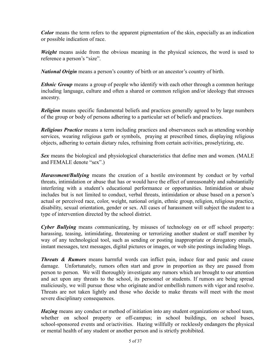*Color* means the term refers to the apparent pigmentation of the skin, especially as an indication or possible indication of race.

*Weight* means aside from the obvious meaning in the physical sciences, the word is used to reference a person's "size".

*National Origin* means a person's country of birth or an ancestor's country of birth.

*Ethnic Group* means a group of people who identify with each other through a common heritage including language, culture and often a shared or common religion and/or ideology that stresses ancestry.

*Religion* means specific fundamental beliefs and practices generally agreed to by large numbers of the group or body of persons adhering to a particular set of beliefs and practices.

*Religious Practice* means a term including practices and observances such as attending worship services, wearing religious garb or symbols, praying at prescribed times, displaying religious objects, adhering to certain dietary rules, refraining from certain activities, proselytizing, etc.

*Sex* means the biological and physiological characteristics that define men and women. (MALE and FEMALE denote "sex".)

*Harassment/Bullying* means the creation of a hostile environment by conduct or by verbal threats, intimidation or abuse that has or would have the effect of unreasonably and substantially interfering with a student's educational performance or opportunities. Intimidation or abuse includes but is not limited to conduct, verbal threats, intimidation or abuse based on a person's actual or perceived race, color, weight, national origin, ethnic group, religion, religious practice, disability, sexual orientation, gender or sex. All cases of harassment will subject the student to a type of intervention directed by the school district.

*Cyber Bullying* means *c*ommunicating, by misuses of technology on or off school property: harassing, teasing, intimidating, threatening or terrorizing another student or staff member by way of any technological tool, such as sending or posting inappropriate or derogatory emails, instant messages, text messages, digital pictures or images, or web site postings including blogs.

*Threats & Rumors* means harmful words can inflict pain, induce fear and panic and cause damage. Unfortunately, rumors often start and grow in proportion as they are passed from person to person. We will thoroughly investigate any rumors which are brought to our attention and act upon any threats to the school, its personnel or students. If rumors are being spread maliciously, we will pursue those who originate and/or embellish rumors with vigor and resolve. Threats are not taken lightly and those who decide to make threats will meet with the most severe disciplinary consequences.

*Hazing* means any conduct or method of initiation into any student organizations or school team, whether on school property or off-campus; in school buildings, on school buses, school-sponsored events and or/activities. Hazing willfully or recklessly endangers the physical or mental health of any student or another person and is strictly prohibited.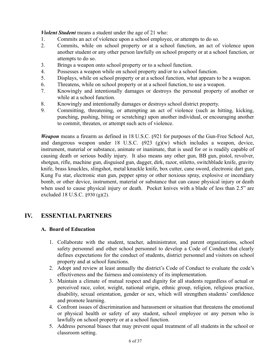*Violent Student* means a student under the age of 21 who:

- 1. Commits an act of violence upon a school employee, or attempts to do so.
- 2. Commits, while on school property or at a school function, an act of violence upon another student or any other person lawfully on school property or at a school function, or attempts to do so.
- 3. Brings a weapon onto school property or to a school function.
- 4. Possesses a weapon while on school property and/or to a school function.
- 5. Displays, while on school property or at a school function, what appears to be a weapon.
- 6. Threatens, while on school property or at a school function, to use a weapon.
- 7. Knowingly and intentionally damages or destroys the personal property of another or while at a school function.
- 8. Knowingly and intentionally damages or destroys school district property.
- 9. Committing, threatening, or attempting an act of violence (such as hitting, kicking, punching, pushing, biting or scratching) upon another individual, or encouraging another to commit, threaten, or attempt such acts of violence.

*Weapon* means a firearm as defined in 18 U.S.C. §921 for purposes of the Gun-Free School Act, and dangerous weapon under 18 U.S.C. §923 (g)(w) which includes a weapon, device, instrument, material or substance, animate or inanimate, that is used for or is readily capable of causing death or serious bodily injury. It also means any other gun, BB gun, pistol, revolver, shotgun, rifle, machine gun, disguised gun, dagger, dirk, razor, stiletto, switchblade knife, gravity knife, brass knuckles, slingshot, metal knuckle knife, box cutter, cane sword, electronic dart gun, Kung Fu star, electronic stun gun, pepper spray or other noxious spray, explosive or incendiary bomb, or other device, instrument, material or substance that can cause physical injury or death when used to cause physical injury or death. Pocket knives with a blade of less than 2.5" are excluded 18 U.S.C. §930 (g)(2).

# **IV. ESSENTIAL PARTNERS**

## **A. Board of Education**

- 1. Collaborate with the student, teacher, administrator, and parent organizations, school safety personnel and other school personnel to develop a Code of Conduct that clearly defines expectations for the conduct of students, district personnel and visitors on school property and at school functions.
- 2. Adopt and review at least annually the district's Code of Conduct to evaluate the code's effectiveness and the fairness and consistency of its implementation.
- 3. Maintain a climate of mutual respect and dignity for all students regardless of actual or perceived race, color, weight, national origin, ethnic group, religion, religious practice, disability, sexual orientation, gender or sex, which will strengthen students' confidence and promote learning.
- 4. Confront issues of discrimination and harassment or situation that threatens the emotional or physical health or safety of any student, school employee or any person who is lawfully on school property or at a school function.
- 5. Address personal biases that may prevent equal treatment of all students in the school or classroom setting.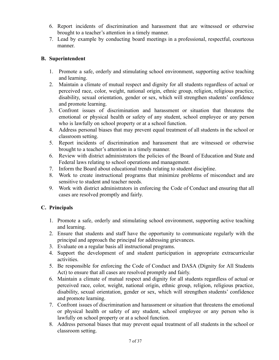- 6. Report incidents of discrimination and harassment that are witnessed or otherwise brought to a teacher's attention in a timely manner.
- 7. Lead by example by conducting board meetings in a professional, respectful, courteous manner.

## **B. Superintendent**

- 1. Promote a safe, orderly and stimulating school environment, supporting active teaching and learning.
- 2. Maintain a climate of mutual respect and dignity for all students regardless of actual or perceived race, color, weight, national origin, ethnic group, religion, religious practice, disability, sexual orientation, gender or sex, which will strengthen students' confidence and promote learning.
- 3. Confront issues of discrimination and harassment or situation that threatens the emotional or physical health or safety of any student, school employee or any person who is lawfully on school property or at a school function.
- 4. Address personal biases that may prevent equal treatment of all students in the school or classroom setting.
- 5. Report incidents of discrimination and harassment that are witnessed or otherwise brought to a teacher's attention in a timely manner.
- 6. Review with district administrators the policies of the Board of Education and State and Federal laws relating to school operations and management.
- 7. Inform the Board about educational trends relating to student discipline.
- 8. Work to create instructional programs that minimize problems of misconduct and are sensitive to student and teacher needs.
- 9. Work with district administrators in enforcing the Code of Conduct and ensuring that all cases are resolved promptly and fairly.

## **C. Principals**

- 1. Promote a safe, orderly and stimulating school environment, supporting active teaching and learning.
- 2. Ensure that students and staff have the opportunity to communicate regularly with the principal and approach the principal for addressing grievances.
- 3. Evaluate on a regular basis all instructional programs.
- 4. Support the development of and student participation in appropriate extracurricular activities.
- 5. Be responsible for enforcing the Code of Conduct and DASA (Dignity for All Students Act) to ensure that all cases are resolved promptly and fairly.
- 6. Maintain a climate of mutual respect and dignity for all students regardless of actual or perceived race, color, weight, national origin, ethnic group, religion, religious practice, disability, sexual orientation, gender or sex, which will strengthen students' confidence and promote learning.
- 7. Confront issues of discrimination and harassment or situation that threatens the emotional or physical health or safety of any student, school employee or any person who is lawfully on school property or at a school function.
- 8. Address personal biases that may prevent equal treatment of all students in the school or classroom setting.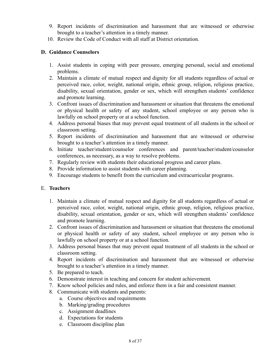- 9. Report incidents of discrimination and harassment that are witnessed or otherwise brought to a teacher's attention in a timely manner.
- 10. Review the Code of Conduct with all staff at District orientation.

## **D. Guidance Counselors**

- 1. Assist students in coping with peer pressure, emerging personal, social and emotional problems.
- 2. Maintain a climate of mutual respect and dignity for all students regardless of actual or perceived race, color, weight, national origin, ethnic group, religion, religious practice, disability, sexual orientation, gender or sex, which will strengthen students' confidence and promote learning.
- 3. Confront issues of discrimination and harassment or situation that threatens the emotional or physical health or safety of any student, school employee or any person who is lawfully on school property or at a school function.
- 4. Address personal biases that may prevent equal treatment of all students in the school or classroom setting.
- 5. Report incidents of discrimination and harassment that are witnessed or otherwise brought to a teacher's attention in a timely manner.
- 6. Initiate teacher/student/counselor conferences and parent/teacher/student/counselor conferences, as necessary, as a way to resolve problems.
- 7. Regularly review with students their educational progress and career plans.
- 8. Provide information to assist students with career planning.
- 9. Encourage students to benefit from the curriculum and extracurricular programs.

## E. **Teachers**

- 1. Maintain a climate of mutual respect and dignity for all students regardless of actual or perceived race, color, weight, national origin, ethnic group, religion, religious practice, disability, sexual orientation, gender or sex, which will strengthen students' confidence and promote learning.
- 2. Confront issues of discrimination and harassment or situation that threatens the emotional or physical health or safety of any student, school employee or any person who is lawfully on school property or at a school function.
- 3. Address personal biases that may prevent equal treatment of all students in the school or classroom setting.
- 4. Report incidents of discrimination and harassment that are witnessed or otherwise brought to a teacher's attention in a timely manner.
- 5. Be prepared to teach.
- 6. Demonstrate interest in teaching and concern for student achievement.
- 7. Know school policies and rules, and enforce them in a fair and consistent manner.
- 8. Communicate with students and parents:
	- a. Course objectives and requirements
	- b. Marking/grading procedures
	- c. Assignment deadlines
	- d. Expectations for students
	- e. Classroom discipline plan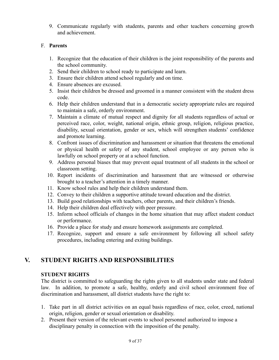9. Communicate regularly with students, parents and other teachers concerning growth and achievement.

## F. **Parents**

- 1. Recognize that the education of their children is the joint responsibility of the parents and the school community.
- 2. Send their children to school ready to participate and learn.
- 3. Ensure their children attend school regularly and on time.
- 4. Ensure absences are excused.
- 5. Insist their children be dressed and groomed in a manner consistent with the student dress code.
- 6. Help their children understand that in a democratic society appropriate rules are required to maintain a safe, orderly environment.
- 7. Maintain a climate of mutual respect and dignity for all students regardless of actual or perceived race, color, weight, national origin, ethnic group, religion, religious practice, disability, sexual orientation, gender or sex, which will strengthen students' confidence and promote learning.
- 8. Confront issues of discrimination and harassment or situation that threatens the emotional or physical health or safety of any student, school employee or any person who is lawfully on school property or at a school function.
- 9. Address personal biases that may prevent equal treatment of all students in the school or classroom setting.
- 10. Report incidents of discrimination and harassment that are witnessed or otherwise brought to a teacher's attention in a timely manner.
- 11. Know school rules and help their children understand them.
- 12. Convey to their children a supportive attitude toward education and the district.
- 13. Build good relationships with teachers, other parents, and their children's friends.
- 14. Help their children deal effectively with peer pressure.
- 15. Inform school officials of changes in the home situation that may affect student conduct or performance.
- 16. Provide a place for study and ensure homework assignments are completed.
- 17. Recognize, support and ensure a safe environment by following all school safety procedures, including entering and exiting buildings.

# **V. STUDENT RIGHTS AND RESPONSIBILITIES**

## **STUDENT RIGHTS**

The district is committed to safeguarding the rights given to all students under state and federal law. In addition, to promote a safe, healthy, orderly and civil school environment free of discrimination and harassment, all district students have the right to:

- 1. Take part in all district activities on an equal basis regardless of race, color, creed, national origin, religion, gender or sexual orientation or disability.
- 2. Present their version of the relevant events to school personnel authorized to impose a disciplinary penalty in connection with the imposition of the penalty.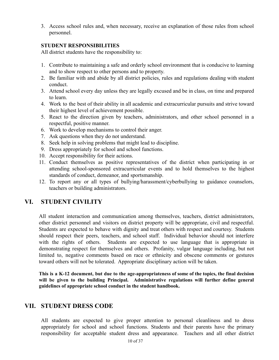3. Access school rules and, when necessary, receive an explanation of those rules from school personnel.

#### **STUDENT RESPONSIBILITIES**

All district students have the responsibility to:

- 1. Contribute to maintaining a safe and orderly school environment that is conducive to learning and to show respect to other persons and to property.
- 2. Be familiar with and abide by all district policies, rules and regulations dealing with student conduct.
- 3. Attend school every day unless they are legally excused and be in class, on time and prepared to learn.
- 4. Work to the best of their ability in all academic and extracurricular pursuits and strive toward their highest level of achievement possible.
- 5. React to the direction given by teachers, administrators, and other school personnel in a respectful, positive manner.
- 6. Work to develop mechanisms to control their anger.
- 7. Ask questions when they do not understand.
- 8. Seek help in solving problems that might lead to discipline.
- 9. Dress appropriately for school and school functions.
- 10. Accept responsibility for their actions.
- 11. Conduct themselves as positive representatives of the district when participating in or attending school-sponsored extracurricular events and to hold themselves to the highest standards of conduct, demeanor, and sportsmanship.
- 12. To report any or all types of bullying/harassment/cyberbullying to guidance counselors, teachers or building administrators.

## **VI. STUDENT CIVILITY**

All student interaction and communication among themselves, teachers, district administrators, other district personnel and visitors on district property will be appropriate, civil and respectful. Students are expected to behave with dignity and treat others with respect and courtesy. Students should respect their peers, teachers, and school staff. Individual behavior should not interfere with the rights of others. Students are expected to use language that is appropriate in demonstrating respect for themselves and others. Profanity, vulgar language including, but not limited to, negative comments based on race or ethnicity and obscene comments or gestures toward others will not be tolerated. Appropriate disciplinary action will be taken.

This is a K-12 document, but due to the age-appropriateness of some of the topics, the final decision **will be given to the building Principal. Administrative regulations will further define general guidelines of appropriate school conduct in the student handbook.**

## **VII. STUDENT DRESS CODE**

All students are expected to give proper attention to personal cleanliness and to dress appropriately for school and school functions. Students and their parents have the primary responsibility for acceptable student dress and appearance. Teachers and all other district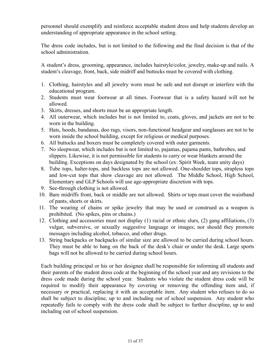personnel should exemplify and reinforce acceptable student dress and help students develop an understanding of appropriate appearance in the school setting.

The dress code includes, but is not limited to the following and the final decision is that of the school administration.

A student's dress, grooming, appearance, includes hairstyle/color, jewelry, make-up and nails. A student's cleavage, front, back, side midriff and buttocks must be covered with clothing.

- 1. Clothing, hairstyles and all jewelry worn must be safe and not disrupt or interfere with the educational program.
- 2. Students must wear footwear at all times. Footwear that is a safety hazard will not be allowed.
- 3. Skirts, dresses, and shorts must be an appropriate length.
- 4. All outerwear, which includes but is not limited to, coats, gloves, and jackets are not to be worn in the building.
- 5. Hats, hoods, bandanas, doo rags, visors, non-functional headgear and sunglasses are not to be worn inside the school building, except for religious or medical purposes.
- 6. All buttocks and boxers must be completely covered with outer garments.
- 7. No sleepwear, which includes but is not limited to, pajamas, pajama pants, bathrobes, and slippers. Likewise, it is not permissible for students to carry or wear blankets around the building. Exceptions on days designated by the school (ex: Spirit Week, team unity days)
- 8. Tube tops, halter-tops, and backless tops are not allowed. One-shoulder tops, strapless tops and low-cut tops that show cleavage are not allowed. The Middle School, High School, Elementary and GLP Schools will use age-appropriate discretion with tops.
- 9. See-through clothing is not allowed.
- 10. Bare midriffs front, back or middle are not allowed. Shirts or tops must cover the waistband of pants, shorts or skirts.
- 11. The wearing of chains or spike jewelry that may be used or construed as a weapon is prohibited. (No spikes, pins or chains.)
- 12. Clothing and accessories must not display (1) racial or ethnic slurs, (2) gang affiliations, (3) vulgar, subversive, or sexually suggestive language or images; nor should they promote messages including alcohol, tobacco, and other drugs.
- 13. String backpacks or backpacks of similar size are allowed to be carried during school hours. They must be able to hang on the back of the desk's chair or under the desk. Large sports bags will not be allowed to be carried during school hours.

Each building principal or his or her designee shall be responsible for informing all students and their parents of the student dress code at the beginning of the school year and any revisions to the dress code made during the school year. Students who violate the student dress code will be required to modify their appearance by covering or removing the offending item and, if necessary or practical, replacing it with an acceptable item. Any student who refuses to do so shall be subject to discipline, up to and including out of school suspension. Any student who repeatedly fails to comply with the dress code shall be subject to further discipline, up to and including out of school suspension.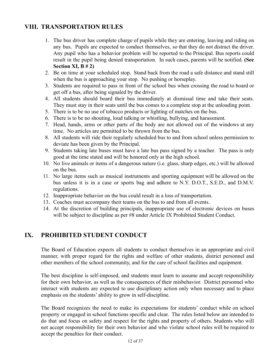# **VIII. TRANSPORTATION RULES**

- 1. The bus driver has complete charge of pupils while they are entering, leaving and riding on any bus. Pupils are expected to conduct themselves, so that they do not distract the driver. Any pupil who has a behavior problem will be reported to the Principal. Bus reports could result in the pupil being denied transportation. In such cases, parents will be notified. **(See Section XI, B # 2)**
- 2. Be on time at your scheduled stop. Stand back from the road a safe distance and stand still when the bus is approaching your stop. No pushing or horseplay.
- 3. Students are required to pass in front of the school bus when crossing the road to board or get off a bus, after being signaled by the driver.
- 4. All students should board their bus immediately at dismissal time and take their seats. They must stay in their seats until the bus comes to a complete stop at the unloading point.
- 5. There is to be no use of tobacco products or lighting of matches on the bus.
- 6. There is to be no shouting, loud talking or whistling, bullying, and harassment.
- 7. Head, hands, arms or other parts of the body are not allowed out of the windows at any time. No articles are permitted to be thrown from the bus.
- 8. All students will ride their regularly scheduled bus to and from school unless permission to deviate has been given by the Principal.
- 9. Students taking late buses must have a late bus pass signed by a teacher. The pass is only good at the time stated and will be honored only at the high school.
- 10. No live animals or items of a dangerous nature (i.e. glass, sharp edges, etc.) will be allowed on the bus.
- 11. No large items such as musical instruments and sporting equipment will be allowed on the bus unless it is in a case or sports bag and adhere to N.Y. D.O.T., S.E.D., and D.M.V. regulations.
- 12. Inappropriate behavior on the bus could result in a loss of transportation.
- 13. Coaches must accompany their teams on the bus to and from all events.
- 14. At the discretion of building principals, inappropriate use of electronic devices on buses will be subject to discipline as per #8 under Article IX Prohibited Student Conduct.

# **IX. PROHIBITED STUDENT CONDUCT**

The Board of Education expects all students to conduct themselves in an appropriate and civil manner, with proper regard for the rights and welfare of other students, district personnel and other members of the school community, and for the care of school facilities and equipment.

The best discipline is self-imposed, and students must learn to assume and accept responsibility for their own behavior, as well as the consequences of their misbehavior. District personnel who interact with students are expected to use disciplinary action only when necessary and to place emphasis on the students' ability to grow in self-discipline.

The Board recognizes the need to make its expectations for students' conduct while on school property or engaged in school functions specific and clear. The rules listed below are intended to do that and focus on safety and respect for the rights and property of others. Students who will not accept responsibility for their own behavior and who violate school rules will be required to accept the penalties for their conduct.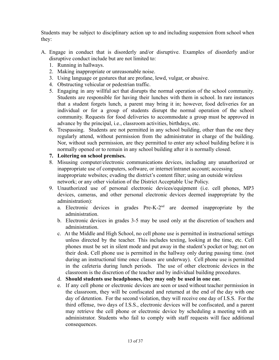Students may be subject to disciplinary action up to and including suspension from school when they:

- A. Engage in conduct that is disorderly and/or disruptive. Examples of disorderly and/or disruptive conduct include but are not limited to:
	- 1. Running in hallways.
	- 2. Making inappropriate or unreasonable noise.
	- 3. Using language or gestures that are profane, lewd, vulgar, or abusive.
	- 4. Obstructing vehicular or pedestrian traffic.
	- 5. Engaging in any willful act that disrupts the normal operation of the school community. Students are responsible for having their lunches with them in school. In rare instances that a student forgets lunch, a parent may bring it in; however, food deliveries for an individual or for a group of students disrupt the normal operation of the school community. Requests for food deliveries to accommodate a group must be approved in advance by the principal, i.e., classroom activities, birthdays, etc.
	- 6. Trespassing. Students are not permitted in any school building, other than the one they regularly attend, without permission from the administrator in charge of the building. Nor, without such permission, are they permitted to enter any school building before it is normally opened or to remain in any school building after it is normally closed.
	- **7. Loitering on school premises.**
	- 8. Misusing computer/electronic communications devices, including any unauthorized or inappropriate use of computers, software, or internet/intranet account; accessing inappropriate websites; evading the district's content filter; using an outside wireless network; or any other violation of the District Acceptable Use Policy.
	- 9. Unauthorized use of personal electronic devices/equipment (i.e. cell phones, MP3 devices, cameras, and other personal electronic devices deemed inappropriate by the administration):
		- a. Electronic devices in grades Pre-K-2nd are deemed inappropriate by the administration.
		- b. Electronic devices in grades 3-5 may be used only at the discretion of teachers and administration.
		- c. At the Middle and High School, no cell phone use is permitted in instructional settings unless directed by the teacher. This includes texting, looking at the time, etc. Cell phones must be set in silent mode and put away in the student's pocket or bag; not on their desk. Cell phone use is permitted in the hallway only during passing time. (not during an instructional time once classes are underway). Cell phone use is permitted in the cafeteria during lunch periods. The use of other electronic devices in the classroom is the discretion of the teacher and by individual building procedures.
		- d. **Should students use headphones, they may only be used in one ear.**
		- e. If any cell phone or electronic devices are seen or used without teacher permission in the classroom, they will be confiscated and returned at the end of the day with one day of detention. For the second violation, they will receive one day of I.S.S. For the third offense, two days of I.S.S., electronic devices will be confiscated, and a parent may retrieve the cell phone or electronic device by scheduling a meeting with an administrator. Students who fail to comply with staff requests will face additional consequences.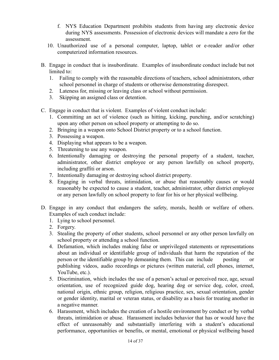- f. NYS Education Department prohibits students from having any electronic device during NYS assessments. Possession of electronic devices will mandate a zero for the assessment.
- 10. Unauthorized use of a personal computer, laptop, tablet or e-reader and/or other computerized information resources.
- B. Engage in conduct that is insubordinate. Examples of insubordinate conduct include but not limited to:
	- 1. Failing to comply with the reasonable directions of teachers, school administrators, other school personnel in charge of students or otherwise demonstrating disrespect.
	- 2. Lateness for, missing or leaving class or school without permission.
	- 3. Skipping an assigned class or detention.
- C. Engage in conduct that is violent. Examples of violent conduct include:
	- 1. Committing an act of violence (such as hitting, kicking, punching, and/or scratching) upon any other person on school property or attempting to do so.
	- 2. Bringing in a weapon onto School District property or to a school function.
	- 3. Possessing a weapon.
	- 4. Displaying what appears to be a weapon.
	- 5. Threatening to use any weapon.
	- 6. Intentionally damaging or destroying the personal property of a student, teacher, administrator, other district employee or any person lawfully on school property, including graffiti or arson.
	- 7. Intentionally damaging or destroying school district property.
	- 8. Engaging in verbal threats, intimidation, or abuse that reasonably causes or would reasonably be expected to cause a student, teacher, administrator, other district employee or any person lawfully on school property to fear for his or her physical wellbeing.
- D. Engage in any conduct that endangers the safety, morals, health or welfare of others. Examples of such conduct include:
	- 1. Lying to school personnel.
	- 2. Forgery.
	- 3. Stealing the property of other students, school personnel or any other person lawfully on school property or attending a school function.
	- 4. Defamation, which includes making false or unprivileged statements or representations about an individual or identifiable group of individuals that harm the reputation of the person or the identifiable group by demeaning them. This can include posting or publishing videos, audio recordings or pictures (written material, cell phones, internet, YouTube, etc.).
	- 5. Discrimination, which includes the use of a person's actual or perceived race, age, sexual orientation, use of recognized guide dog, hearing dog or service dog, color, creed, national origin, ethnic group, religion, religious practice, sex, sexual orientation, gender or gender identity, marital or veteran status, or disability as a basis for treating another in a negative manner.
	- 6. Harassment, which includes the creation of a hostile environment by conduct or by verbal threats, intimidation or abuse. Harassment includes behavior that has or would have the effect of unreasonably and substantially interfering with a student's educational performance, opportunities or benefits, or mental, emotional or physical wellbeing based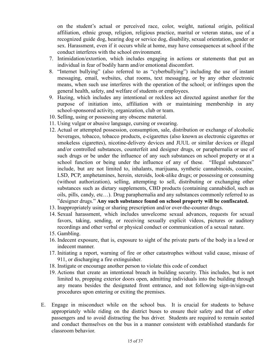on the student's actual or perceived race, color, weight, national origin, political affiliation, ethnic group, religion, religious practice, marital or veteran status, use of a recognized guide dog, hearing dog or service dog, disability, sexual orientation, gender or sex. Harassment, even if it occurs while at home, may have consequences at school if the conduct interferes with the school environment.

- 7. Intimidation/extortion, which includes engaging in actions or statements that put an individual in fear of bodily harm and/or emotional discomfort.
- 8. "Internet bullying" (also referred to as "cyberbullying") including the use of instant messaging, email, websites, chat rooms, text messaging, or by any other electronic means, when such use interferes with the operation of the school; or infringes upon the general health, safety, and welfare of students or employees.
- 9. Hazing, which includes any intentional or reckless act directed against another for the purpose of initiation into, affiliation with or maintaining membership in any school-sponsored activity, organization, club or team.
- 10. Selling, using or possessing any obscene material.
- 11. Using vulgar or abusive language, cursing or swearing.
- 12. Actual or attempted possession, consumption, sale, distribution or exchange of alcoholic beverages, tobacco, tobacco products, e-cigarettes (also known as electronic cigarettes or smokeless cigarettes), nicotine-delivery devices and JUUL or similar devices or illegal and/or controlled substances, counterfeit and designer drugs, or paraphernalia or use of such drugs or be under the influence of any such substances on school property or at a school function or being under the influence of any of these. "Illegal substances" include, but are not limited to, inhalants, marijuana, synthetic cannabinoids, cocaine, LSD, PCP, amphetamines, heroin, steroids, look-alike drugs; or possessing or consuming (without authorization), selling, attempting to sell, distributing or exchanging other substances such as dietary supplements, CBD products (containing cannabidiol, such as oils, pills, candy, etc…). Drug paraphernalia and any substances commonly referred to as "designer drugs." **Any such substance found on school property will be confiscated.**
- 13. Inappropriately using or sharing prescription and/or over-the-counter drugs.
- 14. Sexual harassment, which includes unwelcome sexual advances, requests for sexual favors, taking, sending, or receiving sexually explicit videos, pictures or auditory recordings and other verbal or physical conduct or communication of a sexual nature.
- 15. Gambling.
- 16. Indecent exposure, that is, exposure to sight of the private parts of the body in a lewd or indecent manner.
- 17. Initiating a report, warning of fire or other catastrophes without valid cause, misuse of 911, or discharging a fire extinguisher.
- 18. Instigate or encourage another person to violate this code of conduct
- 19. Actions that create an intentional breach in building security. This includes, but is not limited to, propping exterior doors open, admitting individuals into the building through any means besides the designated front entrance, and not following sign-in/sign-out procedures upon entering or exiting the premises.
- E. Engage in misconduct while on the school bus. It is crucial for students to behave appropriately while riding on the district buses to ensure their safety and that of other passengers and to avoid distracting the bus driver. Students are required to remain seated and conduct themselves on the bus in a manner consistent with established standards for classroom behavior.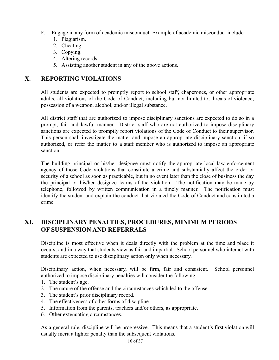- F. Engage in any form of academic misconduct. Example of academic misconduct include:
	- 1. Plagiarism.
	- 2. Cheating.
	- 3. Copying.
	- 4. Altering records.
	- 5. Assisting another student in any of the above actions.

## **X. REPORTING VIOLATIONS**

All students are expected to promptly report to school staff, chaperones, or other appropriate adults, all violations of the Code of Conduct, including but not limited to, threats of violence; possession of a weapon, alcohol, and/or illegal substance.

All district staff that are authorized to impose disciplinary sanctions are expected to do so in a prompt, fair and lawful manner. District staff who are not authorized to impose disciplinary sanctions are expected to promptly report violations of the Code of Conduct to their supervisor. This person shall investigate the matter and impose an appropriate disciplinary sanction, if so authorized, or refer the matter to a staff member who is authorized to impose an appropriate sanction.

The building principal or his/her designee must notify the appropriate local law enforcement agency of those Code violations that constitute a crime and substantially affect the order or security of a school as soon as practicable, but in no event later than the close of business the day the principal or his/her designee learns of the violation. The notification may be made by telephone, followed by written communication in a timely manner. The notification must identify the student and explain the conduct that violated the Code of Conduct and constituted a crime.

# **XI. DISCIPLINARY PENALTIES, PROCEDURES, MINIMUM PERIODS OF SUSPENSION AND REFERRALS**

Discipline is most effective when it deals directly with the problem at the time and place it occurs, and in a way that students view as fair and impartial. School personnel who interact with students are expected to use disciplinary action only when necessary.

Disciplinary action, when necessary, will be firm, fair and consistent. School personnel authorized to impose disciplinary penalties will consider the following:

- 1. The student's age.
- 2. The nature of the offense and the circumstances which led to the offense.
- 3. The student's prior disciplinary record.
- 4. The effectiveness of other forms of discipline.
- 5. Information from the parents, teachers and/or others, as appropriate.
- 6. Other extenuating circumstances.

As a general rule, discipline will be progressive. This means that a student's first violation will usually merit a lighter penalty than the subsequent violations.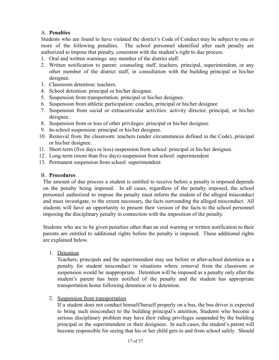## A. **Penalties**

Students who are found to have violated the district's Code of Conduct may be subject to one or more of the following penalties. The school personnel identified after each penalty are authorized to impose that penalty, consistent with the student's right to due process.

- 1. Oral and written warnings: any member of the district staff.
- 2. Written notification to parent: counseling staff, teachers, principal, superintendent, or any other member of the district staff, in consultation with the building principal or his/her designee.
- 3. Classroom detention: teachers.
- 4. School detention: principal or his/her designee.
- 5. Suspension from transportation: principal or his/her designee.
- 6. Suspension from athletic participation: coaches, principal or his/her designee
- 7. Suspension from social or extracurricular activities: activity director, principal, or his/her designee.
- 8. Suspension from or loss of other privileges: principal or his/her designee.
- 9. In-school suspension: principal or his/her designee.
- 10. Removal from the classroom: teachers (under circumstances defined in the Code), principal or his/her designee.
- 11. Short-term (five days or less) suspension from school: principal or his/her designee.
- 12. Long-term (more than five days) suspension from school: superintendent
- 13. Permanent suspension from school: superintendent

## B. **Procedures**

The amount of due process a student is entitled to receive before a penalty is imposed depends on the penalty being imposed. In all cases, regardless of the penalty imposed, the school personnel authorized to impose the penalty must inform the student of the alleged misconduct and must investigate, to the extent necessary, the facts surrounding the alleged misconduct. All students will have an opportunity to present their version of the facts to the school personnel imposing the disciplinary penalty in connection with the imposition of the penalty.

Students who are to be given penalties other than an oral warning or written notification to their parents are entitled to additional rights before the penalty is imposed. These additional rights are explained below.

1. Detention

Teachers, principals and the superintendent may use before or after-school detention as a penalty for student misconduct in situations where removal from the classroom or suspension would be inappropriate. Detention will be imposed as a penalty only after the student's parent has been notified of the penalty and the student has appropriate transportation home following detention or to detention.

2. Suspension from transportation

If a student does not conduct himself/herself properly on a bus, the bus driver is expected to bring such misconduct to the building principal's attention. Students who become a serious disciplinary problem may have their riding privileges suspended by the building principal or the superintendent or their designees. In such cases, the student's parent will become responsible for seeing that his or her child gets to and from school safely. Should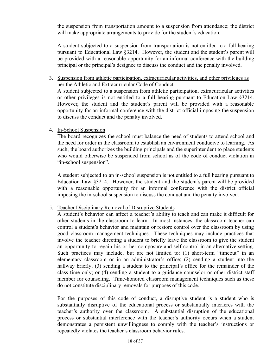the suspension from transportation amount to a suspension from attendance; the district will make appropriate arrangements to provide for the student's education.

A student subjected to a suspension from transportation is not entitled to a full hearing pursuant to Educational Law §3214. However, the student and the student's parent will be provided with a reasonable opportunity for an informal conference with the building principal or the principal's designee to discuss the conduct and the penalty involved.

## 3. Suspension from athletic participation, extracurricular activities, and other privileges as per the Athletic and Extracurricular Code of Conduct.

A student subjected to a suspension from athletic participation, extracurricular activities or other privileges is not entitled to a full hearing pursuant to Education Law §3214. However, the student and the student's parent will be provided with a reasonable opportunity for an informal conference with the district official imposing the suspension to discuss the conduct and the penalty involved.

## 4. In-School Suspension

The board recognizes the school must balance the need of students to attend school and the need for order in the classroom to establish an environment conducive to learning. As such, the board authorizes the building principals and the superintendent to place students who would otherwise be suspended from school as of the code of conduct violation in "in-school suspension".

A student subjected to an in-school suspension is not entitled to a full hearing pursuant to Education Law §3214. However, the student and the student's parent will be provided with a reasonable opportunity for an informal conference with the district official imposing the in-school suspension to discuss the conduct and the penalty involved.

## 5. Teacher Disciplinary Removal of Disruptive Students

A student's behavior can affect a teacher's ability to teach and can make it difficult for other students in the classroom to learn. In most instances, the classroom teacher can control a student's behavior and maintain or restore control over the classroom by using good classroom management techniques. These techniques may include practices that involve the teacher directing a student to briefly leave the classroom to give the student an opportunity to regain his or her composure and self-control in an alternative setting. Such practices may include, but are not limited to: (1) short-term "timeout" in an elementary classroom or in an administrator's office; (2) sending a student into the hallway briefly; (3) sending a student to the principal's office for the remainder of the class time only; or (4) sending a student to a guidance counselor or other district staff member for counseling. Time-honored classroom management techniques such as these do not constitute disciplinary removals for purposes of this code.

For the purposes of this code of conduct, a disruptive student is a student who is substantially disruptive of the educational process or substantially interferes with the teacher's authority over the classroom. A substantial disruption of the educational process or substantial interference with the teacher's authority occurs when a student demonstrates a persistent unwillingness to comply with the teacher's instructions or repeatedly violates the teacher's classroom behavior rules.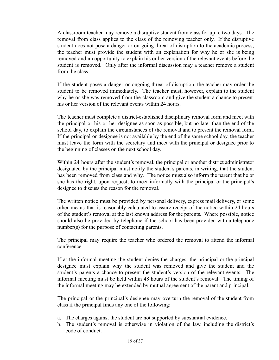A classroom teacher may remove a disruptive student from class for up to two days. The removal from class applies to the class of the removing teacher only. If the disruptive student does not pose a danger or on-going threat of disruption to the academic process, the teacher must provide the student with an explanation for why he or she is being removed and an opportunity to explain his or her version of the relevant events before the student is removed. Only after the informal discussion may a teacher remove a student from the class.

If the student poses a danger or ongoing threat of disruption, the teacher may order the student to be removed immediately. The teacher must, however, explain to the student why he or she was removed from the classroom and give the student a chance to present his or her version of the relevant events within 24 hours.

The teacher must complete a district-established disciplinary removal form and meet with the principal or his or her designee as soon as possible, but no later than the end of the school day, to explain the circumstances of the removal and to present the removal form. If the principal or designee is not available by the end of the same school day, the teacher must leave the form with the secretary and meet with the principal or designee prior to the beginning of classes on the next school day.

Within 24 hours after the student's removal, the principal or another district administrator designated by the principal must notify the student's parents, in writing, that the student has been removed from class and why. The notice must also inform the parent that he or she has the right, upon request, to meet informally with the principal or the principal's designee to discuss the reason for the removal.

The written notice must be provided by personal delivery, express mail delivery, or some other means that is reasonably calculated to assure receipt of the notice within 24 hours of the student's removal at the last known address for the parents. Where possible, notice should also be provided by telephone if the school has been provided with a telephone number(s) for the purpose of contacting parents.

The principal may require the teacher who ordered the removal to attend the informal conference.

If at the informal meeting the student denies the charges, the principal or the principal designee must explain why the student was removed and give the student and the student's parents a chance to present the student's version of the relevant events. The informal meeting must be held within 48 hours of the student's removal. The timing of the informal meeting may be extended by mutual agreement of the parent and principal.

The principal or the principal's designee may overturn the removal of the student from class if the principal finds any one of the following:

- a. The charges against the student are not supported by substantial evidence.
- b. The student's removal is otherwise in violation of the law, including the district's code of conduct.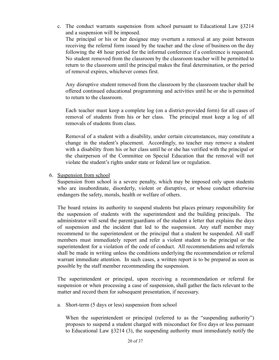c. The conduct warrants suspension from school pursuant to Educational Law §3214 and a suspension will be imposed. The principal or his or her designee may overturn a removal at any point between receiving the referral form issued by the teacher and the close of business on the day following the 48 hour period for the informal conference if a conference is requested. No student removed from the classroom by the classroom teacher will be permitted to return to the classroom until the principal makes the final determination, or the period of removal expires, whichever comes first.

Any disruptive student removed from the classroom by the classroom teacher shall be offered continued educational programming and activities until he or she is permitted to return to the classroom.

Each teacher must keep a complete log (on a district-provided form) for all cases of removal of students from his or her class. The principal must keep a log of all removals of students from class.

Removal of a student with a disability, under certain circumstances, may constitute a change in the student's placement. Accordingly, no teacher may remove a student with a disability from his or her class until he or she has verified with the principal or the chairperson of the Committee on Special Education that the removal will not violate the student's rights under state or federal law or regulation.

## 6. Suspension from school

Suspension from school is a severe penalty, which may be imposed only upon students who are insubordinate, disorderly, violent or disruptive, or whose conduct otherwise endangers the safety, morals, health or welfare of others.

The board retains its authority to suspend students but places primary responsibility for the suspension of students with the superintendent and the building principals. The administrator will send the parent/guardians of the student a letter that explains the days of suspension and the incident that led to the suspension. Any staff member may recommend to the superintendent or the principal that a student be suspended. All staff members must immediately report and refer a violent student to the principal or the superintendent for a violation of the code of conduct. All recommendations and referrals shall be made in writing unless the conditions underlying the recommendation or referral warrant immediate attention. In such cases, a written report is to be prepared as soon as possible by the staff member recommending the suspension.

The superintendent or principal, upon receiving a recommendation or referral for suspension or when processing a case of suspension, shall gather the facts relevant to the matter and record them for subsequent presentation, if necessary.

a. Short-term (5 days or less) suspension from school

When the superintendent or principal (referred to as the "suspending authority") proposes to suspend a student charged with misconduct for five days or less pursuant to Educational Law §3214 (3), the suspending authority must immediately notify the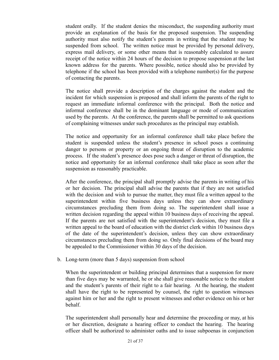student orally. If the student denies the misconduct, the suspending authority must provide an explanation of the basis for the proposed suspension. The suspending authority must also notify the student's parents in writing that the student may be suspended from school. The written notice must be provided by personal delivery, express mail delivery, or some other means that is reasonably calculated to assure receipt of the notice within 24 hours of the decision to propose suspension at the last known address for the parents. Where possible, notice should also be provided by telephone if the school has been provided with a telephone number(s) for the purpose of contacting the parents.

The notice shall provide a description of the charges against the student and the incident for which suspension is proposed and shall inform the parents of the right to request an immediate informal conference with the principal. Both the notice and informal conference shall be in the dominant language or mode of communication used by the parents. At the conference, the parents shall be permitted to ask questions of complaining witnesses under such procedures as the principal may establish.

The notice and opportunity for an informal conference shall take place before the student is suspended unless the student's presence in school poses a continuing danger to persons or property or an ongoing threat of disruption to the academic process. If the student's presence does pose such a danger or threat of disruption, the notice and opportunity for an informal conference shall take place as soon after the suspension as reasonably practicable.

After the conference, the principal shall promptly advise the parents in writing of his or her decision. The principal shall advise the parents that if they are not satisfied with the decision and wish to pursue the matter, they must file a written appeal to the superintendent within five business days unless they can show extraordinary circumstances precluding them from doing so. The superintendent shall issue a written decision regarding the appeal within 10 business days of receiving the appeal. If the parents are not satisfied with the superintendent's decision, they must file a written appeal to the board of education with the district clerk within 10 business days of the date of the superintendent's decision, unless they can show extraordinary circumstances precluding them from doing so. Only final decisions of the board may be appealed to the Commissioner within 30 days of the decision.

b. Long-term (more than 5 days) suspension from school

When the superintendent or building principal determines that a suspension for more than five days may be warranted, he or she shall give reasonable notice to the student and the student's parents of their right to a fair hearing. At the hearing, the student shall have the right to be represented by counsel, the right to question witnesses against him or her and the right to present witnesses and other evidence on his or her behalf.

The superintendent shall personally hear and determine the proceeding or may, at his or her discretion, designate a hearing officer to conduct the hearing. The hearing officer shall be authorized to administer oaths and to issue subpoenas in conjunction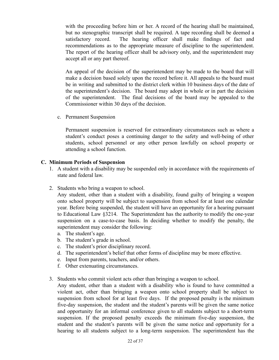with the proceeding before him or her. A record of the hearing shall be maintained, but no stenographic transcript shall be required. A tape recording shall be deemed a satisfactory record. The hearing officer shall make findings of fact and recommendations as to the appropriate measure of discipline to the superintendent. The report of the hearing officer shall be advisory only, and the superintendent may accept all or any part thereof.

An appeal of the decision of the superintendent may be made to the board that will make a decision based solely upon the record before it. All appeals to the board must be in writing and submitted to the district clerk within 10 business days of the date of the superintendent's decision. The board may adopt in whole or in part the decision of the superintendent. The final decisions of the board may be appealed to the Commissioner within 30 days of the decision.

c. Permanent Suspension

Permanent suspension is reserved for extraordinary circumstances such as where a student's conduct poses a continuing danger to the safety and well-being of other students, school personnel or any other person lawfully on school property or attending a school function.

#### **C. Minimum Periods of Suspension**

- 1. A student with a disability may be suspended only in accordance with the requirements of state and federal law.
- 2. Students who bring a weapon to school.

Any student, other than a student with a disability, found guilty of bringing a weapon onto school property will be subject to suspension from school for at least one calendar year. Before being suspended, the student will have an opportunity for a hearing pursuant to Educational Law §3214. The Superintendent has the authority to modify the one-year suspension on a case-to-case basis. In deciding whether to modify the penalty, the superintendent may consider the following:

- a. The student's age.
- b. The student's grade in school.
- c. The student's prior disciplinary record.
- d. The superintendent's belief that other forms of discipline may be more effective.
- e. Input from parents, teachers, and/or others.
- f. Other extenuating circumstances.
- 3. Students who commit violent acts other than bringing a weapon to school.

Any student, other than a student with a disability who is found to have committed a violent act, other than bringing a weapon onto school property shall be subject to suspension from school for at least five days. If the proposed penalty is the minimum five-day suspension, the student and the student's parents will be given the same notice and opportunity for an informal conference given to all students subject to a short-term suspension. If the proposed penalty exceeds the minimum five-day suspension, the student and the student's parents will be given the same notice and opportunity for a hearing to all students subject to a long-term suspension. The superintendent has the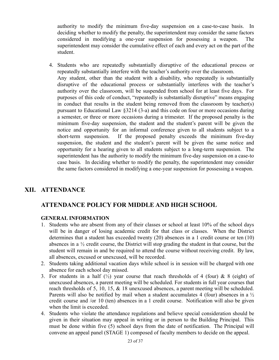authority to modify the minimum five-day suspension on a case-to-case basis. In deciding whether to modify the penalty, the superintendent may consider the same factors considered in modifying a one-year suspension for possessing a weapon. The superintendent may consider the cumulative effect of each and every act on the part of the student.

4. Students who are repeatedly substantially disruptive of the educational process or repeatedly substantially interfere with the teacher's authority over the classroom. Any student, other than the student with a disability, who repeatedly is substantially disruptive of the educational process or substantially interferes with the teacher's authority over the classroom, will be suspended from school for at least five days. For purposes of this code of conduct, "repeatedly is substantially disruptive" means engaging in conduct that results in the student being removed from the classroom by teacher(s) pursuant to Educational Law §3214 (3-a) and this code on four or more occasions during a semester, or three or more occasions during a trimester. If the proposed penalty is the minimum five-day suspension, the student and the student's parent will be given the notice and opportunity for an informal conference given to all students subject to a short-term suspension. If the proposed penalty exceeds the minimum five-day suspension, the student and the student's parent will be given the same notice and opportunity for a hearing given to all students subject to a long-term suspension. The superintendent has the authority to modify the minimum five-day suspension on a case-to case basis. In deciding whether to modify the penalty, the superintendent may consider the same factors considered in modifying a one-year suspension for possessing a weapon.

# **XII. ATTENDANCE**

# **ATTENDANCE POLICY FOR MIDDLE AND HIGH SCHOOL**

## **GENERAL INFORMATION**

- 1. Students who are absent from any of their classes or school at least 10% of the school days will be in danger of losing academic credit for that class or classes. When the District determines that a student has exceeded twenty (20) absences in a 1 credit course or ten (10) absences in a ½ credit course, the District will stop grading the student in that course, but the student will remain in and be required to attend the course without receiving credit. By law, all absences, excused or unexcused, will be recorded.
- 2. Students taking additional vacation days while school is in session will be charged with one absence for each school day missed.
- 3. For students in a half  $\binom{1}{2}$  year course that reach thresholds of 4 (four) & 8 (eight) of unexcused absences, a parent meeting will be scheduled. For students in full year courses that reach thresholds of 5, 10, 15, & 18 unexcused absences, a parent meeting will be scheduled. Parents will also be notified by mail when a student accumulates 4 (four) absences in a  $\frac{1}{2}$ credit course and /or 10 (ten) absences in a 1 credit course. Notification will also be given when the limit is exceeded.
- 4. Students who violate the attendance regulations and believe special consideration should be given in their situation may appeal in writing or in person to the Building Principal. This must be done within five (5) school days from the date of notification. The Principal will convene an appeal panel (STAGE 1) composed of faculty members to decide on the appeal.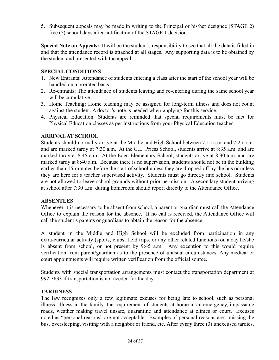5. Subsequent appeals may be made in writing to the Principal or his/her designee (STAGE 2) five (5) school days after notification of the STAGE 1 decision.

**Special Note on Appeals:** It will be the student's responsibility to see that all the data is filled in and that the attendance record is attached at all stages. Any supporting data is to be obtained by the student and presented with the appeal.

## **SPECIAL CONDITIONS**

- 1. New Entrants: Attendance of students entering a class after the start of the school year will be handled on a prorated basis.
- 2. Re-entrants: The attendance of students leaving and re-entering during the same school year will be cumulative.
- 3. Home Teaching: Home teaching may be assigned for long-term illness and does not count against the student. A doctor's note is needed when applying for this service.
- 4. Physical Education: Students are reminded that special requirements must be met for Physical Education classes as per instructions from your Physical Education teacher.

## **ARRIVALAT SCHOOL**

Students should normally arrive at the Middle and High School between 7:15 a.m. and 7:25 a.m. and are marked tardy at 7:30 a.m. At the G.L. Priess School, students arrive at 8:35 a.m. and are marked tardy at 8:45 a.m. At the Eden Elementary School, students arrive at 8:30 a.m. and are marked tardy at 8:40 a.m. Because there is no supervision, students should not be in the building earlier than 15 minutes before the start of school unless they are dropped off by the bus or unless they are here for a teacher supervised activity. Students must go directly into school. Students are not allowed to leave school grounds without prior permission. A secondary student arriving at school after 7:30 a.m. during homeroom should report directly to the Attendance Office.

## **ABSENTEES**

Whenever it is necessary to be absent from school, a parent or guardian must call the Attendance Office to explain the reason for the absence. If no call is received, the Attendance Office will call the student's parents or guardians to obtain the reason for the absence.

A student in the Middle and High School will be excluded from participation in any extra-curricular activity (sports, clubs, field trips, or any other related functions) on a day he/she is absent from school, or not present by 9:45 a.m. Any exception to this would require verification from parent/guardian as to the presence of unusual circumstances. Any medical or court appointments will require written verification from the official source.

Students with special transportation arrangements must contact the transportation department at 992-3633 if transportation is not needed for the day.

## **TARDINESS**

The law recognizes only a few legitimate excuses for being late to school, such as personal illness, illness in the family, the requirement of students at home in an emergency, impassable roads, weather making travel unsafe, quarantine and attendance at clinics or court. Excuses noted as "personal reasons" are not acceptable. Examples of personal reasons are: missing the bus, oversleeping, visiting with a neighbor or friend, etc. After **every** three (3) unexcused tardies,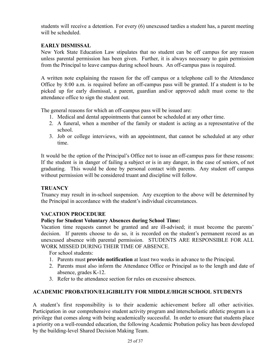students will receive a detention. For every (6) unexcused tardies a student has, a parent meeting will be scheduled.

## **EARLY DISMISSAL**

New York State Education Law stipulates that no student can be off campus for any reason unless parental permission has been given. Further, it is always necessary to gain permission from the Principal to leave campus during school hours. An off-campus pass is required.

A written note explaining the reason for the off campus or a telephone call to the Attendance Office by 8:00 a.m. is required before an off-campus pass will be granted. If a student is to be picked up for early dismissal, a parent, guardian and/or approved adult must come to the attendance office to sign the student out.

The general reasons for which an off-campus pass will be issued are:

- 1. Medical and dental appointments that cannot be scheduled at any other time.
- 2. A funeral, when a member of the family or student is acting as a representative of the school.
- 3. Job or college interviews, with an appointment, that cannot be scheduled at any other time.

It would be the option of the Principal's Office not to issue an off-campus pass for these reasons: If the student is in danger of failing a subject or is in any danger, in the case of seniors, of not graduating. This would be done by personal contact with parents. Any student off campus without permission will be considered truant and discipline will follow.

## **TRUANCY**

Truancy may result in in-school suspension. Any exception to the above will be determined by the Principal in accordance with the student's individual circumstances.

## **VACATION PROCEDURE**

## **Policy for Student Voluntary Absences during School Time:**

Vacation time requests cannot be granted and are ill-advised; it must become the parents' decision. If parents choose to do so, it is recorded on the student's permanent record as an unexcused absence with parental permission. STUDENTS ARE RESPONSIBLE FOR ALL WORK MISSED DURING THEIR TIME OF ABSENCE.

For school students:

- 1. Parents must **provide notification** at least two weeks in advance to the Principal.
- 2. Parents must also inform the Attendance Office or Principal as to the length and date of absence, grades K-12.
- 3. Refer to the attendance section for rules on excessive absences.

## **ACADEMIC PROBATION/ELIGIBILITY FOR MIDDLE/HIGH SCHOOL STUDENTS**

A student's first responsibility is to their academic achievement before all other activities. Participation in our comprehensive student activity program and interscholastic athletic program is a privilege that comes along with being academically successful. In order to ensure that students place a priority on a well-rounded education, the following Academic Probation policy has been developed by the building-level Shared Decision Making Team.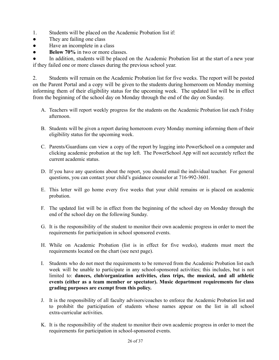- 1. Students will be placed on the Academic Probation list if:
- They are failing one class
- Have an incomplete in a class
- **• Below 70%** in two or more classes.

In addition, students will be placed on the Academic Probation list at the start of a new year if they failed one or more classes during the previous school year.

2. Students will remain on the Academic Probation list for five weeks. The report will be posted on the Parent Portal and a copy will be given to the students during homeroom on Monday morning informing them of their eligibility status for the upcoming week. The updated list will be in effect from the beginning of the school day on Monday through the end of the day on Sunday.

- A. Teachers will report weekly progress for the students on the Academic Probation list each Friday afternoon.
- B. Students will be given a report during homeroom every Monday morning informing them of their eligibility status for the upcoming week.
- C. Parents/Guardians can view a copy of the report by logging into PowerSchool on a computer and clicking academic probation at the top left. The PowerSchool App will not accurately reflect the current academic status.
- D. If you have any questions about the report, you should email the individual teacher. For general questions, you can contact your child's guidance counselor at 716-992-3601.
- E. This letter will go home every five weeks that your child remains or is placed on academic probation.
- F. The updated list will be in effect from the beginning of the school day on Monday through the end of the school day on the following Sunday.
- G. It is the responsibility of the student to monitor their own academic progress in order to meet the requirements for participation in school sponsored events.
- H. While on Academic Probation (list is in effect for five weeks), students must meet the requirements located on the chart (see next page).
- I. Students who do not meet the requirements to be removed from the Academic Probation list each week will be unable to participate in any school-sponsored activities; this includes, but is not limited to: **dances, club/organization activities, class trips, the musical, and all athletic events (either as a team member or spectator). Music department requirements for class grading purposes are exempt from this policy.**
- J. It is the responsibility of all faculty advisors/coaches to enforce the Academic Probation list and to prohibit the participation of students whose names appear on the list in all school extra-curricular activities.
- K. It is the responsibility of the student to monitor their own academic progress in order to meet the requirements for participation in school-sponsored events.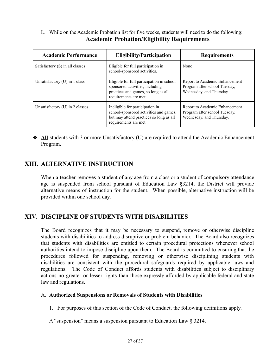L. While on the Academic Probation list for five weeks, students will need to do the following: **Academic Probation/Eligibility Requirements**

| <b>Academic Performance</b>       | <b>Eligibility/Participation</b>                                                                                                              | <b>Requirements</b>                                                                         |
|-----------------------------------|-----------------------------------------------------------------------------------------------------------------------------------------------|---------------------------------------------------------------------------------------------|
| Satisfactory (S) in all classes   | Eligible for full participation in<br>school-sponsored activities.                                                                            | None                                                                                        |
| Unsatisfactory $(U)$ in 1 class   | Eligible for full participation in school<br>sponsored activities, including<br>practices and games, so long as all<br>requirements are met.  | Report to Academic Enhancement<br>Program after school Tuesday,<br>Wednesday, and Thursday. |
| Unsatisfactory $(U)$ in 2 classes | Ineligible for participation in<br>school-sponsored activities and games,<br>but may attend practices so long as all<br>requirements are met. | Report to Academic Enhancement<br>Program after school Tuesday,<br>Wednesday, and Thursday. |

❖ **All** students with 3 or more Unsatisfactory (U) are required to attend the Academic Enhancement Program.

# **XIII. ALTERNATIVE INSTRUCTION**

When a teacher removes a student of any age from a class or a student of compulsory attendance age is suspended from school pursuant of Education Law §3214, the District will provide alternative means of instruction for the student. When possible, alternative instruction will be provided within one school day.

# **XIV. DISCIPLINE OF STUDENTS WITH DISABILITIES**

The Board recognizes that it may be necessary to suspend, remove or otherwise discipline students with disabilities to address disruptive or problem behavior. The Board also recognizes that students with disabilities are entitled to certain procedural protections whenever school authorities intend to impose discipline upon them. The Board is committed to ensuring that the procedures followed for suspending, removing or otherwise disciplining students with disabilities are consistent with the procedural safeguards required by applicable laws and regulations. The Code of Conduct affords students with disabilities subject to disciplinary actions no greater or lesser rights than those expressly afforded by applicable federal and state law and regulations.

## A. **Authorized Suspensions or Removals of Students with Disabilities**

1. For purposes of this section of the Code of Conduct, the following definitions apply.

A "suspension" means a suspension pursuant to Education Law § 3214.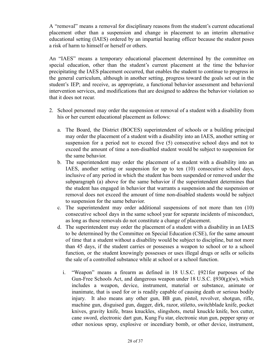A "removal" means a removal for disciplinary reasons from the student's current educational placement other than a suspension and change in placement to an interim alternative educational setting (IAES) ordered by an impartial hearing officer because the student poses a risk of harm to himself or herself or others.

An "IAES" means a temporary educational placement determined by the committee on special education, other than the student's current placement at the time the behavior precipitating the IAES placement occurred, that enables the student to continue to progress in the general curriculum, although in another setting, progress toward the goals set out in the student's IEP; and receive, as appropriate, a functional behavior assessment and behavioral intervention services, and modifications that are designed to address the behavior violation so that it does not recur.

- 2. School personnel may order the suspension or removal of a student with a disability from his or her current educational placement as follows:
	- a. The Board, the District (BOCES) superintendent of schools or a building principal may order the placement of a student with a disability into an IAES, another setting or suspension for a period not to exceed five (5) consecutive school days and not to exceed the amount of time a non-disabled student would be subject to suspension for the same behavior.
	- b. The superintendent may order the placement of a student with a disability into an IAES, another setting or suspension for up to ten (10) consecutive school days, inclusive of any period in which the student has been suspended or removed under the subparagraph (a) above for the same behavior if the superintendent determines that the student has engaged in behavior that warrants a suspension and the suspension or removal does not exceed the amount of time non-disabled students would be subject to suspension for the same behavior.
	- c. The superintendent may order additional suspensions of not more than ten (10) consecutive school days in the same school year for separate incidents of misconduct, as long as those removals do not constitute a change of placement.
	- d. The superintendent may order the placement of a student with a disability in an IAES to be determined by the Committee on Special Education (CSE), for the same amount of time that a student without a disability would be subject to discipline, but not more than 45 days, if the student carries or possesses a weapon to school or to a school function, or the student knowingly possesses or uses illegal drugs or sells or solicits the sale of a controlled substance while at school or a school function.
		- i. "Weapon" means a firearm as defined in 18 U.S.C. §921for purposes of the Gun-Free Schools Act, and dangerous weapon under 18 U.S.C.  $\frac{930(g)(w)}{w}$ , which includes a weapon, device, instrument, material or substance, animate or inanimate, that is used for or is readily capable of causing death or serious bodily injury. It also means any other gun, BB gun, pistol, revolver, shotgun, rifle, machine gun, disguised gun, dagger, dirk, razor, stiletto, switchblade knife, pocket knives, gravity knife, brass knuckles, slingshots, metal knuckle knife, box cutter, cane sword, electronic dart gun, Kung Fu star, electronic stun gun, pepper spray or other noxious spray, explosive or incendiary bomb, or other device, instrument,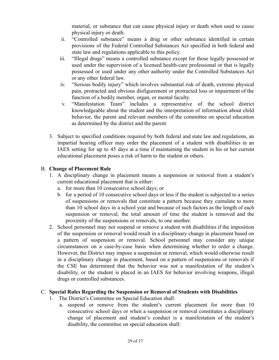material, or substance that can cause physical injury or death when used to cause physical injury or death.

- ii. "Controlled substance" means a drug or other substance identified in certain provisions of the Federal Controlled Substances Act specified in both federal and state law and regulations applicable to this policy.
- iii. "Illegal drugs" means a controlled substance except for those legally possessed or used under the supervision of a licensed health-care professional or that is legally possessed or used under any other authority under the Controlled Substances Act or any other federal law.
- iv. "Serious bodily injury" which involves substantial risk of death, extreme physical pain, protracted and obvious disfigurement or protracted loss or impairment of the function of a bodily member, organ, or mental faculty.
- v. "Manifestation Team" includes a representative of the school district knowledgeable about the student and the interpretation of information about child behavior, the parent and relevant members of the committee on special education as determined by the district and the parent.
- 3. Subject to specified conditions required by both federal and state law and regulations, an impartial hearing officer may order the placement of a student with disabilities in an IAES setting for up to 45 days at a time if maintaining the student in his or her current educational placement poses a risk of harm to the student or others.

## B. **Change of Placement Rule**

- 1. A disciplinary change in placement means a suspension or removal from a student's current educational placement that is either:
	- a. for more than 10 consecutive school days; or
	- b. for a period of 10 consecutive school days or less if the student is subjected to a series of suspensions or removals that constitute a pattern because they cumulate to more than 10 school days in a school year and because of such factors as the length of each suspension or removal, the total amount of time the student is removed and the proximity of the suspensions or removals, to one another.
- 2. School personnel may not suspend or remove a student with disabilities if the imposition of the suspension or removal would result in a disciplinary change in placement based on a pattern of suspension or removal. School personnel may consider any unique circumstances on a case-by-case basis when determining whether to order a change. However, the District may impose a suspension or removal, which would otherwise result in a disciplinary change in placement, based on a pattern of suspensions or removals if the CSE has determined that the behavior was not a manifestation of the student's disability, or the student is placed in an IAES for behavior involving weapons, illegal drugs or controlled substances.

## C. **Special Rules Regarding the Suspension or Removal of Students with Disabilities**

- 1. The District's Committee on Special Education shall:
	- a. suspend or remove from the student's current placement for more than 10 consecutive school days or when a suspension or removal constitutes a disciplinary change of placement and student's conduct is a manifestation of the student's disability, the committee on special education shall: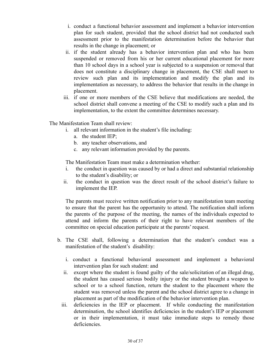- i. conduct a functional behavior assessment and implement a behavior intervention plan for such student, provided that the school district had not conducted such assessment prior to the manifestation determination before the behavior that results in the change in placement; or
- ii. if the student already has a behavior intervention plan and who has been suspended or removed from his or her current educational placement for more than 10 school days in a school year is subjected to a suspension or removal that does not constitute a disciplinary change in placement, the CSE shall meet to review such plan and its implementation and modify the plan and its implementation as necessary, to address the behavior that results in the change in placement.
- iii. if one or more members of the CSE believe that modifications are needed, the school district shall convene a meeting of the CSE to modify such a plan and its implementation, to the extent the committee determines necessary.

The Manifestation Team shall review:

- i. all relevant information in the student's file including:
	- a. the student IEP;
	- b. any teacher observations, and
	- c. any relevant information provided by the parents.

The Manifestation Team must make a determination whether:

- i. the conduct in question was caused by or had a direct and substantial relationship to the student's disability; or
- ii. the conduct in question was the direct result of the school district's failure to implement the IEP.

The parents must receive written notification prior to any manifestation team meeting to ensure that the parent has the opportunity to attend. The notification shall inform the parents of the purpose of the meeting, the names of the individuals expected to attend and inform the parents of their right to have relevant members of the committee on special education participate at the parents' request.

- b. The CSE shall, following a determination that the student's conduct was a manifestation of the student's disability:
	- i. conduct a functional behavioral assessment and implement a behavioral intervention plan for such student: and
	- ii. except where the student is found guilty of the sale/solicitation of an illegal drug, the student has caused serious bodily injury or the student brought a weapon to school or to a school function, return the student to the placement where the student was removed unless the parent and the school district agree to a change in placement as part of the modification of the behavior intervention plan.
	- iii. deficiencies in the IEP or placement. If while conducting the manifestation determination, the school identifies deficiencies in the student's IEP or placement or in their implementation, it must take immediate steps to remedy those deficiencies.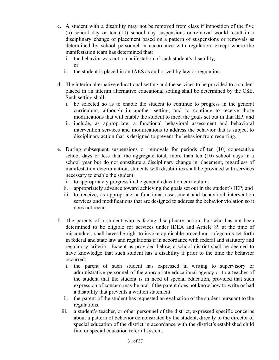- c. A student with a disability may not be removed from class if imposition of the five (5) school day or ten (10) school day suspensions or removal would result in a disciplinary change of placement based on a pattern of suspensions or removals as determined by school personnel in accordance with regulation, except where the manifestation team has determined that:
	- i. the behavior was not a manifestation of such student's disability, or
	- ii. the student is placed in an IAES as authorized by law or regulation.
- d. The interim alternative educational setting and the services to be provided to a student placed in an interim alternative educational setting shall be determined by the CSE. Such setting shall:
	- i. be selected so as to enable the student to continue to progress in the general curriculum, although in another setting, and to continue to receive those modifications that will enable the student to meet the goals set out in that IEP; and
	- ii. include, as appropriate, a functional behavioral assessment and behavioral intervention services and modifications to address the behavior that is subject to disciplinary action that is designed to prevent the behavior from recurring.
- e. During subsequent suspensions or removals for periods of ten (10) consecutive school days or less than the aggregate total, more than ten (10) school days in a school year but do not constitute a disciplinary change in placement, regardless of manifestation determination, students with disabilities shall be provided with services necessary to enable the student:
	- i. to appropriately progress in the general education curriculum:
	- ii. appropriately advance toward achieving the goals set out in the student's IEP; and
	- iii. to receive, as appropriate, a functional assessment and behavioral intervention services and modifications that are designed to address the behavior violation so it does not recur.
- f. The parents of a student who is facing disciplinary action, but who has not been determined to be eligible for services under IDEA and Article 89 at the time of misconduct, shall have the right to invoke applicable procedural safeguards set forth in federal and state law and regulations if in accordance with federal and statutory and regulatory criteria. Except as provided below, a school district shall be deemed to have knowledge that such student has a disability if prior to the time the behavior occurred:
	- i. the parent of such student has expressed in writing to supervisory or administrative personnel of the appropriate educational agency or to a teacher of the student that the student is in need of special education, provided that such expression of concern may be oral if the parent does not know how to write or had a disability that prevents a written statement.
	- ii. the parent of the student has requested an evaluation of the student pursuant to the regulations.
	- iii. a student's teacher, or other personnel of the district, expressed specific concerns about a pattern of behavior demonstrated by the student, directly to the director of special education of the district in accordance with the district's established child find or special education referral system.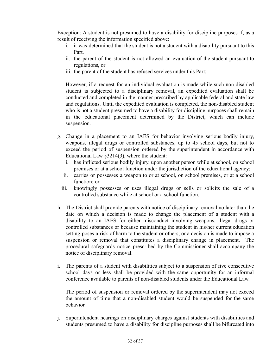Exception: A student is not presumed to have a disability for discipline purposes if, as a result of receiving the information specified above:

- i. it was determined that the student is not a student with a disability pursuant to this Part.
- ii. the parent of the student is not allowed an evaluation of the student pursuant to regulations, or
- iii. the parent of the student has refused services under this Part;

However, if a request for an individual evaluation is made while such non-disabled student is subjected to a disciplinary removal, an expedited evaluation shall be conducted and completed in the manner prescribed by applicable federal and state law and regulations. Until the expedited evaluation is completed, the non-disabled student who is not a student presumed to have a disability for discipline purposes shall remain in the educational placement determined by the District, which can include suspension.

- g. Change in a placement to an IAES for behavior involving serious bodily injury, weapons, illegal drugs or controlled substances, up to 45 school days, but not to exceed the period of suspension ordered by the superintendent in accordance with Educational Law §3214(3), where the student:
	- i. has inflicted serious bodily injury, upon another person while at school, on school premises or at a school function under the jurisdiction of the educational agency;
	- ii. carries or possesses a weapon to or at school, on school premises, or at a school function; or
	- iii. knowingly possesses or uses illegal drugs or sells or solicits the sale of a controlled substance while at school or a school function.
- h. The District shall provide parents with notice of disciplinary removal no later than the date on which a decision is made to change the placement of a student with a disability to an IAES for either misconduct involving weapons, illegal drugs or controlled substances or because maintaining the student in his/her current education setting poses a risk of harm to the student or others; or a decision is made to impose a suspension or removal that constitutes a disciplinary change in placement. The procedural safeguards notice prescribed by the Commissioner shall accompany the notice of disciplinary removal.
- i. The parents of a student with disabilities subject to a suspension of five consecutive school days or less shall be provided with the same opportunity for an informal conference available to parents of non-disabled students under the Educational Law.

The period of suspension or removal ordered by the superintendent may not exceed the amount of time that a non-disabled student would be suspended for the same behavior.

j. Superintendent hearings on disciplinary charges against students with disabilities and students presumed to have a disability for discipline purposes shall be bifurcated into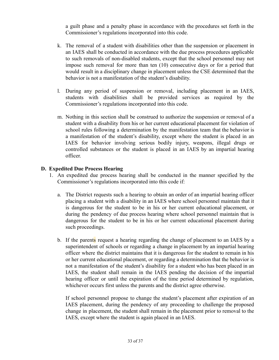a guilt phase and a penalty phase in accordance with the procedures set forth in the Commissioner's regulations incorporated into this code.

- k. The removal of a student with disabilities other than the suspension or placement in an IAES shall be conducted in accordance with the due process procedures applicable to such removals of non-disabled students, except that the school personnel may not impose such removal for more than ten (10) consecutive days or for a period that would result in a disciplinary change in placement unless the CSE determined that the behavior is not a manifestation of the student's disability.
- l. During any period of suspension or removal, including placement in an IAES, students with disabilities shall be provided services as required by the Commissioner's regulations incorporated into this code.
- m. Nothing in this section shall be construed to authorize the suspension or removal of a student with a disability from his or her current educational placement for violation of school rules following a determination by the manifestation team that the behavior is a manifestation of the student's disability, except where the student is placed in an IAES for behavior involving serious bodily injury, weapons, illegal drugs or controlled substances or the student is placed in an IAES by an impartial hearing officer.

## **D. Expedited Due Process Hearing**

- 1. An expedited due process hearing shall be conducted in the manner specified by the Commissioner's regulations incorporated into this code if:
	- a. The District requests such a hearing to obtain an order of an impartial hearing officer placing a student with a disability in an IAES where school personnel maintain that it is dangerous for the student to be in his or her current educational placement, or during the pendency of due process hearing where school personnel maintain that is dangerous for the student to be in his or her current educational placement during such proceedings.
	- b. If the parents request a hearing regarding the change of placement to an IAES by a superintendent of schools or regarding a change in placement by an impartial hearing officer where the district maintains that it is dangerous for the student to remain in his or her current educational placement, or regarding a determination that the behavior is not a manifestation of the student's disability for a student who has been placed in an IAES, the student shall remain in the IAES pending the decision of the impartial hearing officer or until the expiration of the time period determined by regulation, whichever occurs first unless the parents and the district agree otherwise.

If school personnel propose to change the student's placement after expiration of an IAES placement, during the pendency of any proceeding to challenge the proposed change in placement, the student shall remain in the placement prior to removal to the IAES, except where the student is again placed in an IAES.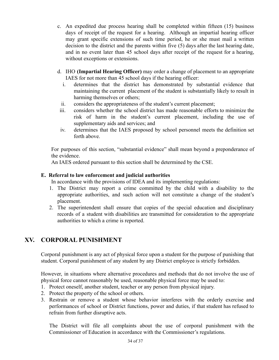- c. An expedited due process hearing shall be completed within fifteen (15) business days of receipt of the request for a hearing. Although an impartial hearing officer may grant specific extensions of such time period, he or she must mail a written decision to the district and the parents within five (5) days after the last hearing date, and in no event later than 45 school days after receipt of the request for a hearing, without exceptions or extensions.
- d. IHO **(Impartial Hearing Officer)** may order a change of placement to an appropriate IAES for not more than 45 school days if the hearing officer:
	- i. determines that the district has demonstrated by substantial evidence that maintaining the current placement of the student is substantially likely to result in harming themselves or others;
	- ii. considers the appropriateness of the student's current placement;
- iii. considers whether the school district has made reasonable efforts to minimize the risk of harm in the student's current placement, including the use of supplementary aids and services; and
- iv. determines that the IAES proposed by school personnel meets the definition set forth above.

For purposes of this section, "substantial evidence" shall mean beyond a preponderance of the evidence.

An IAES ordered pursuant to this section shall be determined by the CSE.

## **E. Referral to law enforcement and judicial authorities**

In accordance with the provisions of IDEA and its implementing regulations:

- 1. The District may report a crime committed by the child with a disability to the appropriate authorities, and such action will not constitute a change of the student's placement.
- 2. The superintendent shall ensure that copies of the special education and disciplinary records of a student with disabilities are transmitted for consideration to the appropriate authorities to which a crime is reported.

# **XV. CORPORAL PUNISHMENT**

Corporal punishment is any act of physical force upon a student for the purpose of punishing that student. Corporal punishment of any student by any District employee is strictly forbidden.

However, in situations where alternative procedures and methods that do not involve the use of physical force cannot reasonably be used, reasonable physical force may be used to:

- 1. Protect oneself, another student, teacher or any person from physical injury.
- 2. Protect the property of the school or others.
- 3. Restrain or remove a student whose behavior interferes with the orderly exercise and performances of school or District functions, power and duties, if that student has refused to refrain from further disruptive acts.

The District will file all complaints about the use of corporal punishment with the Commissioner of Education in accordance with the Commissioner's regulations.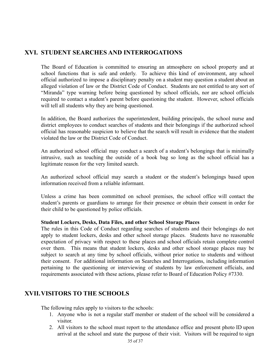## **XVI. STUDENT SEARCHES AND INTERROGATIONS**

The Board of Education is committed to ensuring an atmosphere on school property and at school functions that is safe and orderly. To achieve this kind of environment, any school official authorized to impose a disciplinary penalty on a student may question a student about an alleged violation of law or the District Code of Conduct. Students are not entitled to any sort of "Miranda" type warning before being questioned by school officials, nor are school officials required to contact a student's parent before questioning the student. However, school officials will tell all students why they are being questioned.

In addition, the Board authorizes the superintendent, building principals, the school nurse and district employees to conduct searches of students and their belongings if the authorized school official has reasonable suspicion to believe that the search will result in evidence that the student violated the law or the District Code of Conduct.

An authorized school official may conduct a search of a student's belongings that is minimally intrusive, such as touching the outside of a book bag so long as the school official has a legitimate reason for the very limited search.

An authorized school official may search a student or the student's belongings based upon information received from a reliable informant.

Unless a crime has been committed on school premises, the school office will contact the student's parents or guardians to arrange for their presence or obtain their consent in order for their child to be questioned by police officials.

#### **Student Lockers, Desks, Data Files, and other School Storage Places**

The rules in this Code of Conduct regarding searches of students and their belongings do not apply to student lockers, desks and other school storage places. Students have no reasonable expectation of privacy with respect to these places and school officials retain complete control over them. This means that student lockers, desks and other school storage places may be subject to search at any time by school officials, without prior notice to students and without their consent. For additional information on Searches and Interrogations, including information pertaining to the questioning or interviewing of students by law enforcement officials, and requirements associated with these actions, please refer to Board of Education Policy #7330.

## **XVII.VISITORS TO THE SCHOOLS**

The following rules apply to visitors to the schools:

- 1. Anyone who is not a regular staff member or student of the school will be considered a visitor.
- 2. All visitors to the school must report to the attendance office and present photo ID upon arrival at the school and state the purpose of their visit. Visitors will be required to sign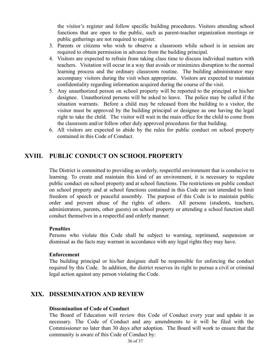the visitor's register and follow specific building procedures. Visitors attending school functions that are open to the public, such as parent-teacher organization meetings or public gatherings are not required to register.

- 3. Parents or citizens who wish to observe a classroom while school is in session are required to obtain permission in advance from the building principal.
- 4. Visitors are expected to refrain from taking class time to discuss individual matters with teachers. Visitation will occur in a way that avoids or minimizes disruption to the normal learning process and the ordinary classroom routine. The building administrator may accompany visitors during the visit when appropriate. Visitors are expected to maintain confidentiality regarding information acquired during the course of the visit.
- 5. Any unauthorized person on school property will be reported to the principal or his/her designee. Unauthorized persons will be asked to leave. The police may be called if the situation warrants. Before a child may be released from the building to a visitor, the visitor must be approved by the building principal or designee as one having the legal right to take the child. The visitor will wait in the main office for the child to come from the classroom and/or follow other duly approved procedures for that building.
- 6. All visitors are expected to abide by the rules for public conduct on school property contained in this Code of Conduct.

## **XVIII. PUBLIC CONDUCT ON SCHOOL PROPERTY**

The District is committed to providing an orderly, respectful environment that is conducive to learning. To create and maintain this kind of an environment, it is necessary to regulate public conduct on school property and at school functions. The restrictions on public conduct on school property and at school functions contained in this Code are not intended to limit freedom of speech or peaceful assembly. The purpose of this Code is to maintain public order and prevent abuse of the rights of others. All persons (students, teachers, administrators, parents, other guests) on school property or attending a school function shall conduct themselves in a respectful and orderly manner.

#### **Penalties**

Persons who violate this Code shall be subject to warning, reprimand, suspension or dismissal as the facts may warrant in accordance with any legal rights they may have.

#### **Enforcement**

The building principal or his/her designee shall be responsible for enforcing the conduct required by this Code. In addition, the district reserves its right to pursue a civil or criminal legal action against any person violating the Code.

## **XIX. DISSEMINATION AND REVIEW**

## **Dissemination of Code of Conduct**

The Board of Education will review this Code of Conduct every year and update it as necessary. The Code of Conduct and any amendments to it will be filed with the Commissioner no later than 30 days after adoption. The Board will work to ensure that the community is aware of this Code of Conduct by: